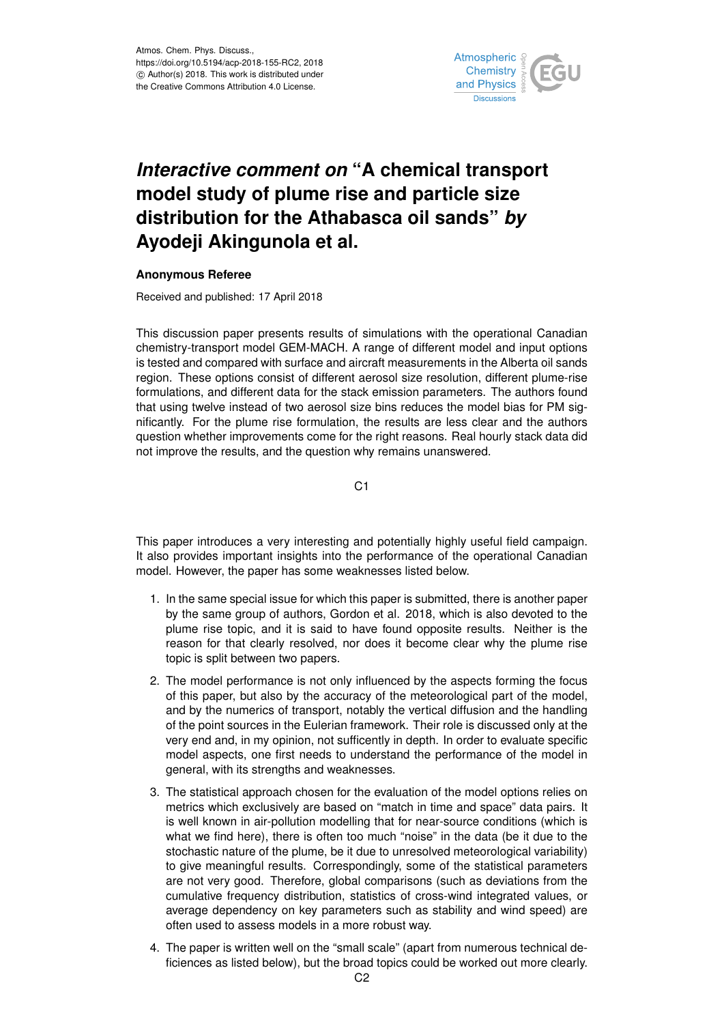

# *Interactive comment on* **"A chemical transport** *Interactive comment on* "A chemical transport **distribution for the Athabasca oil sands"** *by* **model study of plume rise and particle size Ayodeji Akingunola et al. distribution for the Athabasca oil sands"** *by* **Anonymous Referee Ayodeji Akingunola et al.**

#### **Anonymous Referee**

 $\frac{1}{2}$ pticle and  $\frac{1}{2}$  points  $\frac{1}{2}$  marginals  $\frac{1}{2}$  models,  $\frac{1}{2}$ Received and published: 17 April 2018

nificantly. For the plume rise formulation, the results are less clear and the authors This discussion paper presents results of simulations with the operational Canadian chemistry-transport model GEM-MACH. A range of different model and input options is tested and compared with surface and aircraft measurements in the Alberta oil sands region. These options consist of different aerosol size resolution, different plume-rise formulations, and different data for the stack emission parameters. The authors found that using twelve instead of two aerosol size bins reduces the model bias for PM sigquestion whether improvements come for the right reasons. Real hourly stack data did not improve the results, and the question why remains unanswered.

C1

This paper introduces a very interesting and potentially highly useful field campaign. It also provides important insights into the performance of the operational Canadian model. However, the paper has some weaknesses listed below.

- 1. In the same special issue for which this paper is submitted, there is another paper by the same group of authors, Gordon et al. 2018, which is also devoted to the plume rise topic, and it is said to have found opposite results. Neither is the reason for that clearly resolved, nor does it become clear why the plume rise topic is split between two papers.
- 2. The model performance is not only influenced by the aspects forming the focus of this paper, but also by the accuracy of the meteorological part of the model, and by the numerics of transport, notably the vertical diffusion and the handling of the point sources in the Eulerian framework. Their role is discussed only at the very end and, in my opinion, not sufficently in depth. In order to evaluate specific model aspects, one first needs to understand the performance of the model in general, with its strengths and weaknesses.
- 3. The statistical approach chosen for the evaluation of the model options relies on metrics which exclusively are based on "match in time and space" data pairs. It is well known in air-pollution modelling that for near-source conditions (which is what we find here), there is often too much "noise" in the data (be it due to the stochastic nature of the plume, be it due to unresolved meteorological variability) to give meaningful results. Correspondingly, some of the statistical parameters are not very good. Therefore, global comparisons (such as deviations from the cumulative frequency distribution, statistics of cross-wind integrated values, or average dependency on key parameters such as stability and wind speed) are often used to assess models in a more robust way.
- 4. The paper is written well on the "small scale" (apart from numerous technical deficiences as listed below), but the broad topics could be worked out more clearly.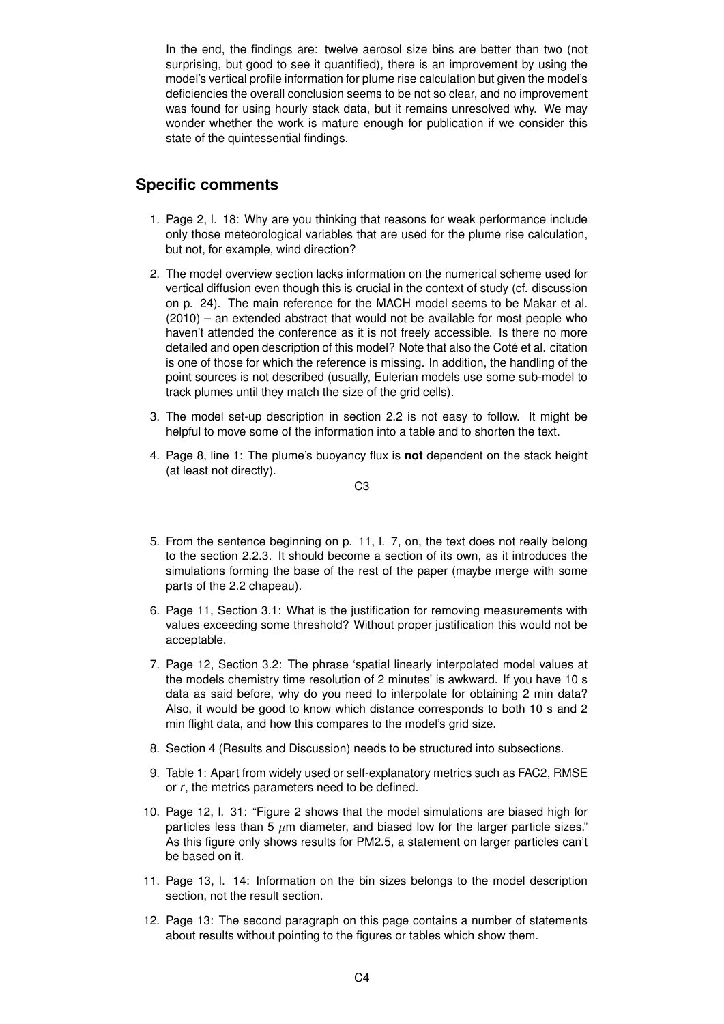In the end, the findings are: twelve aerosol size bins are better than two (not surprising, but good to see it quantified), there is an improvement by using the model's vertical profile information for plume rise calculation but given the model's deficiencies the overall conclusion seems to be not so clear, and no improvement was found for using hourly stack data, but it remains unresolved why. We may wonder whether the work is mature enough for publication if we consider this state of the quintessential findings.

## **Specific comments**

- 1. Page 2, l. 18: Why are you thinking that reasons for weak performance include only those meteorological variables that are used for the plume rise calculation, but not, for example, wind direction?
- 2. The model overview section lacks information on the numerical scheme used for vertical diffusion even though this is crucial in the context of study (cf. discussion on p. 24). The main reference for the MACH model seems to be Makar et al. (2010) – an extended abstract that would not be available for most people who haven't attended the conference as it is not freely accessible. Is there no more detailed and open description of this model? Note that also the Coté et al. citation is one of those for which the reference is missing. In addition, the handling of the point sources is not described (usually, Eulerian models use some sub-model to track plumes until they match the size of the grid cells).
- 3. The model set-up description in section 2.2 is not easy to follow. It might be helpful to move some of the information into a table and to shorten the text.
- 4. Page 8, line 1: The plume's buoyancy flux is **not** dependent on the stack height (at least not directly).

$$
\mathsf C3
$$

- 5. From the sentence beginning on p. 11, l. 7, on, the text does not really belong to the section 2.2.3. It should become a section of its own, as it introduces the simulations forming the base of the rest of the paper (maybe merge with some parts of the 2.2 chapeau).
- 6. Page 11, Section 3.1: What is the justification for removing measurements with values exceeding some threshold? Without proper justification this would not be acceptable.
- 7. Page 12, Section 3.2: The phrase 'spatial linearly interpolated model values at the models chemistry time resolution of 2 minutes' is awkward. If you have 10 s data as said before, why do you need to interpolate for obtaining 2 min data? Also, it would be good to know which distance corresponds to both 10 s and 2 min flight data, and how this compares to the model's grid size.
- 8. Section 4 (Results and Discussion) needs to be structured into subsections.
- 9. Table 1: Apart from widely used or self-explanatory metrics such as FAC2, RMSE or *r*, the metrics parameters need to be defined.
- 10. Page 12, l. 31: "Figure 2 shows that the model simulations are biased high for particles less than 5  $\mu$ m diameter, and biased low for the larger particle sizes." As this figure only shows results for PM2.5, a statement on larger particles can't be based on it.
- 11. Page 13, l. 14: Information on the bin sizes belongs to the model description section, not the result section.
- 12. Page 13: The second paragraph on this page contains a number of statements about results without pointing to the figures or tables which show them.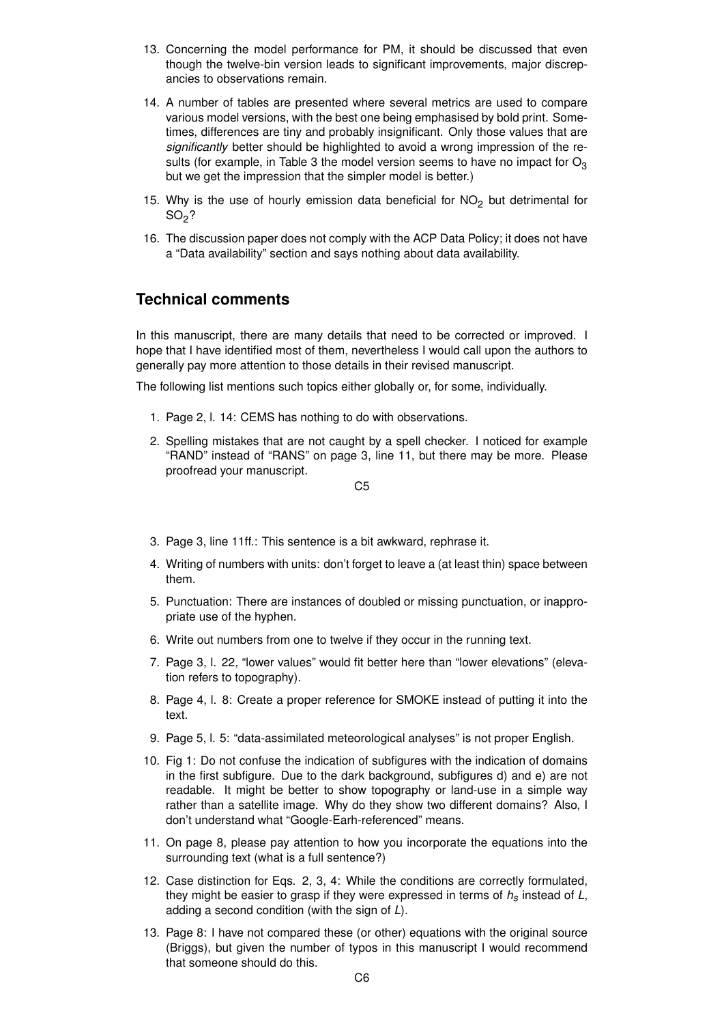- 13. Concerning the model performance for PM, it should be discussed that even though the twelve-bin version leads to significant improvements, major discrepancies to observations remain.
- 14. A number of tables are presented where several metrics are used to compare various model versions, with the best one being emphasised by bold print. Sometimes, differences are tiny and probably insignificant. Only those values that are *significantly* better should be highlighted to avoid a wrong impression of the results (for example, in Table 3 the model version seems to have no impact for  $O_3$ but we get the impression that the simpler model is better.)
- 15. Why is the use of hourly emission data beneficial for  $NO<sub>2</sub>$  but detrimental for  $SO<sub>2</sub>$ ?
- 16. The discussion paper does not comply with the ACP Data Policy; it does not have a "Data availability" section and says nothing about data availability.

## **Technical comments**

In this manuscript, there are many details that need to be corrected or improved. I hope that I have identified most of them, nevertheless I would call upon the authors to generally pay more attention to those details in their revised manuscript.

The following list mentions such topics either globally or, for some, individually.

- 1. Page 2, l. 14: CEMS has nothing to do with observations.
- 2. Spelling mistakes that are not caught by a spell checker. I noticed for example "RAND" instead of "RANS" on page 3, line 11, but there may be more. Please proofread your manuscript.

$$
C5
$$

- 3. Page 3, line 11ff.: This sentence is a bit awkward, rephrase it.
- 4. Writing of numbers with units: don't forget to leave a (at least thin) space between them.
- 5. Punctuation: There are instances of doubled or missing punctuation, or inappropriate use of the hyphen.
- 6. Write out numbers from one to twelve if they occur in the running text.
- 7. Page 3, l. 22, "lower values" would fit better here than "lower elevations" (elevation refers to topography).
- 8. Page 4, l. 8: Create a proper reference for SMOKE instead of putting it into the text.
- 9. Page 5, l. 5: "data-assimilated meteorological analyses" is not proper English.
- 10. Fig 1: Do not confuse the indication of subfigures with the indication of domains in the first subfigure. Due to the dark background, subfigures d) and e) are not readable. It might be better to show topography or land-use in a simple way rather than a satellite image. Why do they show two different domains? Also, I don't understand what "Google-Earh-referenced" means.
- 11. On page 8, please pay attention to how you incorporate the equations into the surrounding text (what is a full sentence?)
- 12. Case distinction for Eqs. 2, 3, 4: While the conditions are correctly formulated, they might be easier to grasp if they were expressed in terms of *hs* instead of *L*, adding a second condition (with the sign of *L*).
- 13. Page 8: I have not compared these (or other) equations with the original source (Briggs), but given the number of typos in this manuscript I would recommend that someone should do this.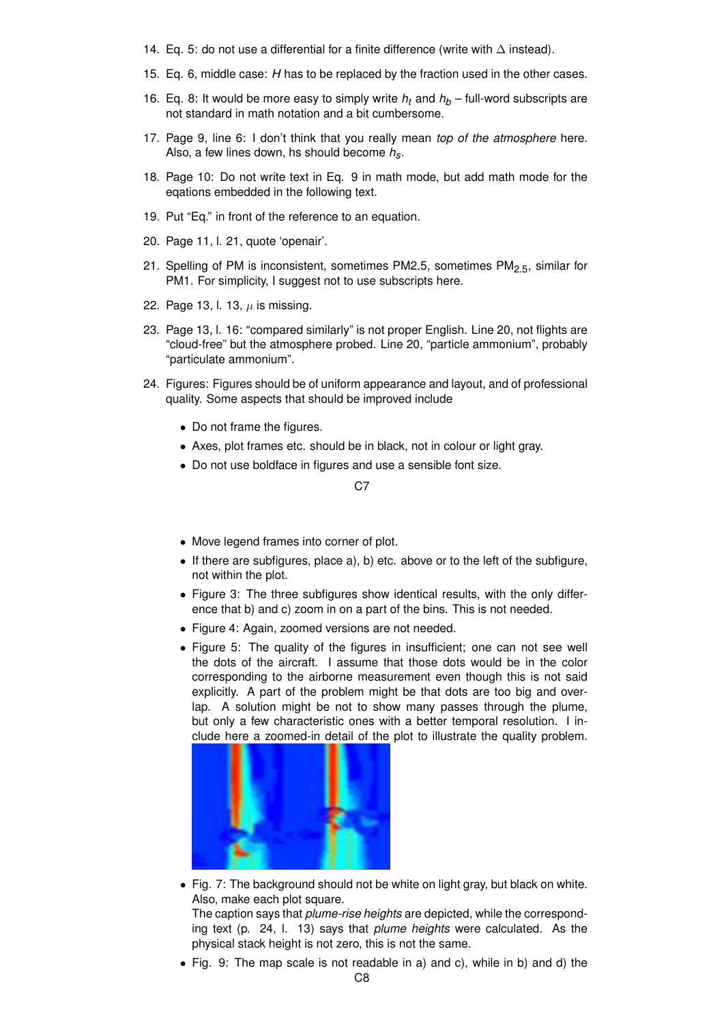- 14. Eq. 5: do not use a differential for a finite difference (write with ∆ instead).
- 15. Eq. 6, middle case: *H* has to be replaced by the fraction used in the other cases.
- 16. Eq. 8: It would be more easy to simply write  $h_t$  and  $h_b$  full-word subscripts are not standard in math notation and a bit cumbersome.
- 17. Page 9, line 6: I don't think that you really mean *top of the atmosphere* here. Also, a few lines down, hs should become *hs*.
- 18. Page 10: Do not write text in Eq. 9 in math mode, but add math mode for the eqations embedded in the following text.
- 19. Put "Eq." in front of the reference to an equation.
- 20. Page 11, l. 21, quote 'openair'.
- 21. Spelling of PM is inconsistent, sometimes PM2.5, sometimes PM<sub>2.5</sub>, similar for PM1. For simplicity, I suggest not to use subscripts here.
- 22. Page 13, l. 13,  $\mu$  is missing.
- 23. Page 13, l. 16: "compared similarly" is not proper English. Line 20, not flights are "cloud-free" but the atmosphere probed. Line 20, "particle ammonium", probably "particulate ammonium".
- 24. Figures: Figures should be of uniform appearance and layout, and of professional quality. Some aspects that should be improved include
	- Do not frame the figures.
	- Axes, plot frames etc. should be in black, not in colour or light gray.
	- Do not use boldface in figures and use a sensible font size.

#### C7

- Move legend frames into corner of plot.
- If there are subfigures, place a), b) etc. above or to the left of the subfigure, not within the plot.
- Figure 3: The three subfigures show identical results, with the only difference that b) and c) zoom in on a part of the bins. This is not needed.
- Figure 4: Again, zoomed versions are not needed.
- Figure 5: The quality of the figures in insufficient; one can not see well the dots of the aircraft. I assume that those dots would be in the color corresponding to the airborne measurement even though this is not said explicitly. A part of the problem might be that dots are too big and overlap. A solution might be not to show many passes through the plume, but only a few characteristic ones with a better temporal resolution. I include here a zoomed-in detail of the plot to illustrate the quality problem.



• Fig. 7: The background should not be white on light gray, but black on white. Also, make each plot square.

The caption says that *plume-rise heights* are depicted, while the corresponding text (p. 24, l. 13) says that *plume heights* were calculated. As the physical stack height is not zero, this is not the same.

• Fig. 9: The map scale is not readable in a) and c), while in b) and d) the